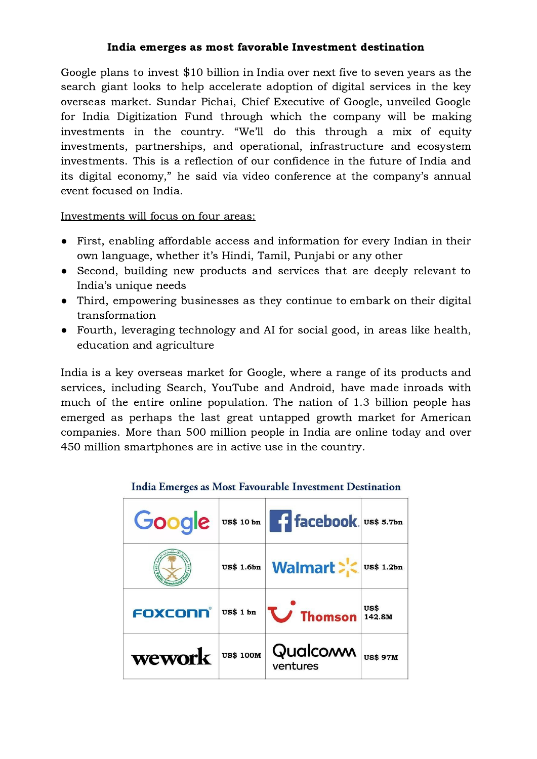## India emerges as most favorable Investment destination

Google plans to invest \$10 billion in India over next five to seven years as the search giant looks to help accelerate adoption of digital services in the key overseas market. [Sundar](https://crunchbase.com/person/sundar-pichai) Pichai, Chief Executive of Google, unveiled Google for India Digitization Fund through which the company will be making investments in the country. "We'll do this through a mix of equity investments, partnerships, and operational, infrastructure and ecosystem investments. This is a reflection of our confidence in the future of India and its digital economy," he said via video conference at the company's annual event focused on India.

Investments will focus on four areas:

- First, enabling affordable access and information for every Indian in their own language, whether it's Hindi, Tamil, Punjabi or any other
- Second, building new products and services that are deeply relevant to India's unique needs
- Third, empowering businesses as they continue to embark on their digital transformation
- Fourth, leveraging technology and AI for social good, in areas like health, education and agriculture

India is a key overseas market for Google, where a range of its products and services, including Search, YouTube and Android, have made inroads with much of the entire online population. The nation of 1.3 billion people has emerged as perhaps the last great untapped growth market for American companies. More than 500 million people in India are online today and over 450 million smartphones are in active use in the country.

|         |                   | Google  US\$ 10 bn   facebook. US\$ 5.7bn                                                          |  |
|---------|-------------------|----------------------------------------------------------------------------------------------------|--|
|         | <b>US\$ 1.6bn</b> | Walmart >                                                                                          |  |
| FOXCONN | <b>US\$ 1 bn</b>  | $\sum$ Thomson $\left  \begin{smallmatrix} \text{US} \text{S} \\ 142.8M \end{smallmatrix} \right $ |  |
| wework  | <b>US\$ 100M</b>  | Qualcon us\$ 97M<br>ventures                                                                       |  |

## India Emerges as Most Favourable Investment Destination